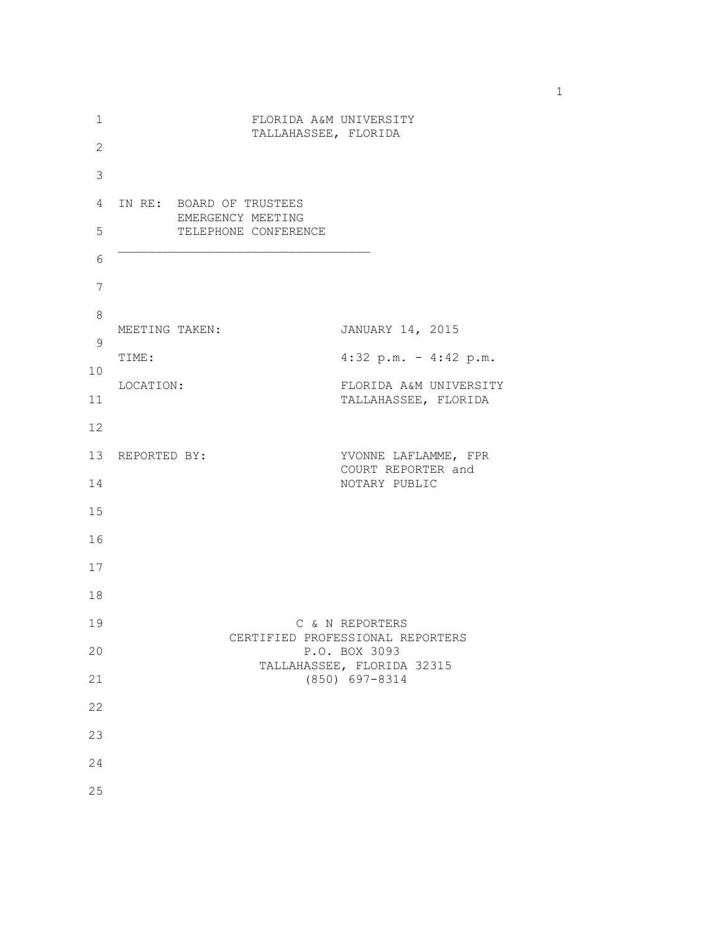| 1              | FLORIDA A&M UNIVERSITY<br>TALLAHASSEE, FLORIDA |                                               |                                  |                 |                                                |  |  |
|----------------|------------------------------------------------|-----------------------------------------------|----------------------------------|-----------------|------------------------------------------------|--|--|
| $\overline{c}$ |                                                |                                               |                                  |                 |                                                |  |  |
| $\mathsf 3$    |                                                |                                               |                                  |                 |                                                |  |  |
| 4              |                                                | IN RE: BOARD OF TRUSTEES<br>EMERGENCY MEETING |                                  |                 |                                                |  |  |
| 5              |                                                |                                               | TELEPHONE CONFERENCE             |                 |                                                |  |  |
| 6              |                                                |                                               |                                  |                 |                                                |  |  |
| 7              |                                                |                                               |                                  |                 |                                                |  |  |
| 8              | MEETING TAKEN:                                 |                                               |                                  |                 | JANUARY 14, 2015                               |  |  |
| $\mathsf 9$    | TIME:                                          |                                               |                                  |                 |                                                |  |  |
| 10             | LOCATION:                                      |                                               |                                  |                 | $4:32$ p.m. - $4:42$ p.m.                      |  |  |
| 11             |                                                |                                               |                                  |                 | FLORIDA A&M UNIVERSITY<br>TALLAHASSEE, FLORIDA |  |  |
| 12             |                                                |                                               |                                  |                 |                                                |  |  |
|                | 13 REPORTED BY:                                |                                               |                                  |                 | YVONNE LAFLAMME, FPR<br>COURT REPORTER and     |  |  |
| 14             |                                                |                                               |                                  |                 | NOTARY PUBLIC                                  |  |  |
| 15             |                                                |                                               |                                  |                 |                                                |  |  |
| 16             |                                                |                                               |                                  |                 |                                                |  |  |
| 17             |                                                |                                               |                                  |                 |                                                |  |  |
| 18             |                                                |                                               |                                  |                 |                                                |  |  |
| 19             |                                                |                                               |                                  | C & N REPORTERS |                                                |  |  |
| 20             |                                                |                                               | CERTIFIED PROFESSIONAL REPORTERS | P.O. BOX 3093   |                                                |  |  |
| 21             |                                                |                                               | TALLAHASSEE, FLORIDA 32315       | (850) 697-8314  |                                                |  |  |
| 22             |                                                |                                               |                                  |                 |                                                |  |  |
| 23             |                                                |                                               |                                  |                 |                                                |  |  |
| 24             |                                                |                                               |                                  |                 |                                                |  |  |
| 25             |                                                |                                               |                                  |                 |                                                |  |  |
|                |                                                |                                               |                                  |                 |                                                |  |  |

1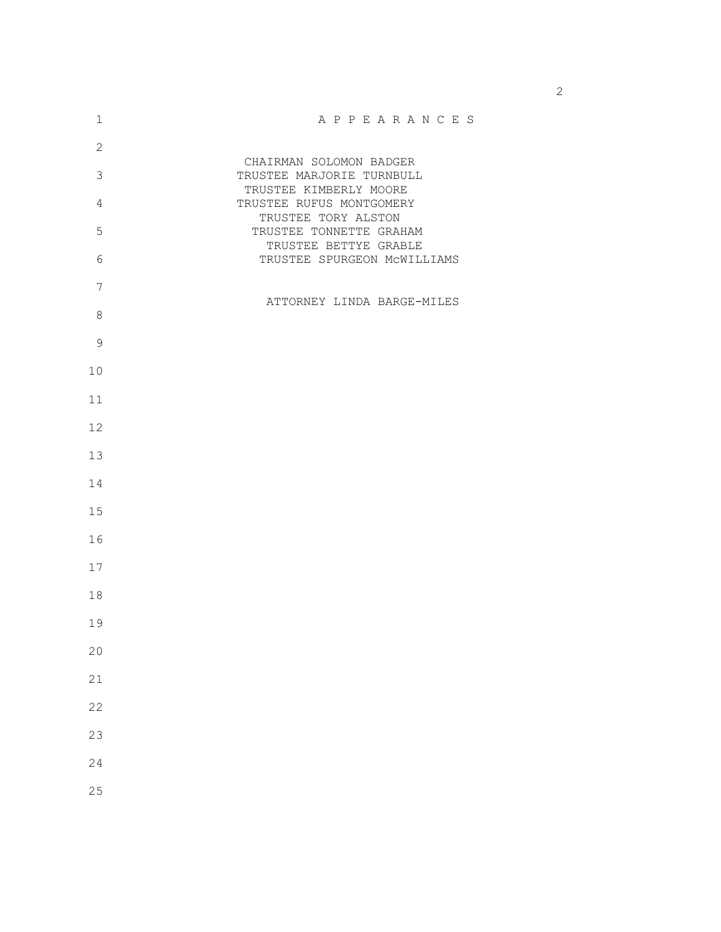| $\mathbbm{1}$  | A P P E A R A N C E S                                |
|----------------|------------------------------------------------------|
| $\mathbf{2}$   |                                                      |
| $\mathcal{S}$  | CHAIRMAN SOLOMON BADGER<br>TRUSTEE MARJORIE TURNBULL |
|                | TRUSTEE KIMBERLY MOORE                               |
| $\overline{4}$ | TRUSTEE RUFUS MONTGOMERY                             |
| 5              | TRUSTEE TORY ALSTON<br>TRUSTEE TONNETTE GRAHAM       |
|                | TRUSTEE BETTYE GRABLE                                |
| $\epsilon$     | TRUSTEE SPURGEON MCWILLIAMS                          |
| $\overline{7}$ |                                                      |
|                | ATTORNEY LINDA BARGE-MILES                           |
| $\,8\,$        |                                                      |
| $\mathsf 9$    |                                                      |
|                |                                                      |
| 10             |                                                      |
| 11             |                                                      |
| 12             |                                                      |
|                |                                                      |
| 13             |                                                      |
| 14             |                                                      |
|                |                                                      |
| 15             |                                                      |
| 16             |                                                      |
|                |                                                      |
| 17             |                                                      |
| 18             |                                                      |
| 19             |                                                      |
|                |                                                      |
| 20             |                                                      |
| 21             |                                                      |
|                |                                                      |
| 22             |                                                      |
| 23             |                                                      |
|                |                                                      |
| 24             |                                                      |
| 25             |                                                      |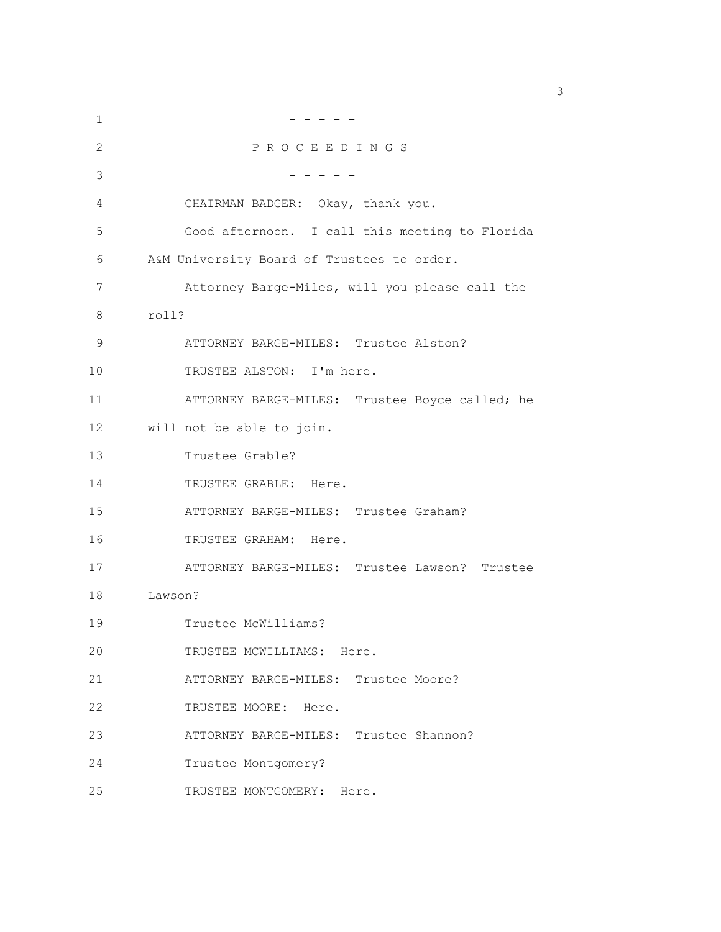| 1  |                                                |
|----|------------------------------------------------|
| 2  | PROCEEDINGS                                    |
| 3  |                                                |
| 4  | CHAIRMAN BADGER: Okay, thank you.              |
| 5  | Good afternoon. I call this meeting to Florida |
| 6  | A&M University Board of Trustees to order.     |
| 7  | Attorney Barge-Miles, will you please call the |
| 8  | roll?                                          |
| 9  | ATTORNEY BARGE-MILES: Trustee Alston?          |
| 10 | TRUSTEE ALSTON: I'm here.                      |
| 11 | ATTORNEY BARGE-MILES: Trustee Boyce called; he |
| 12 | will not be able to join.                      |
| 13 | Trustee Grable?                                |
| 14 | TRUSTEE GRABLE: Here.                          |
| 15 | ATTORNEY BARGE-MILES: Trustee Graham?          |
| 16 | TRUSTEE GRAHAM: Here.                          |
| 17 | ATTORNEY BARGE-MILES: Trustee Lawson? Trustee  |
| 18 | Lawson?                                        |
| 19 | Trustee McWilliams?                            |
| 20 | TRUSTEE MCWILLIAMS: Here.                      |
| 21 | ATTORNEY BARGE-MILES: Trustee Moore?           |
| 22 | TRUSTEE MOORE: Here.                           |
| 23 | ATTORNEY BARGE-MILES: Trustee Shannon?         |
| 24 | Trustee Montgomery?                            |
| 25 | TRUSTEE MONTGOMERY: Here.                      |

 $\sim$  3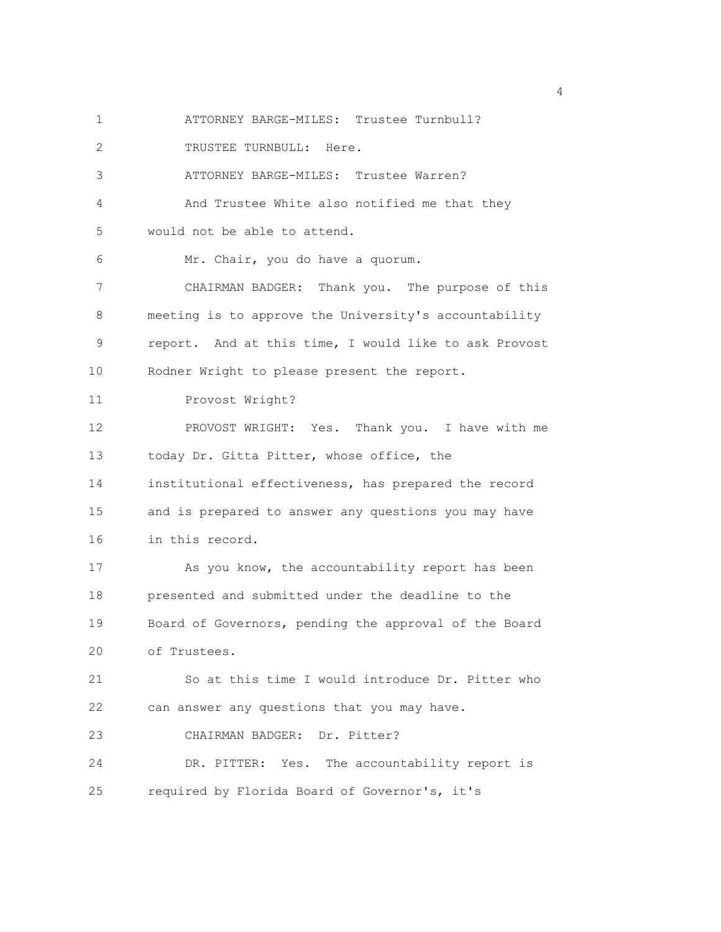1 ATTORNEY BARGE-MILES: Trustee Turnbull? 2 TRUSTEE TURNBULL: Here. 3 ATTORNEY BARGE-MILES: Trustee Warren? 4 And Trustee White also notified me that they 5 would not be able to attend. 6 Mr. Chair, you do have a quorum. 7 CHAIRMAN BADGER: Thank you. The purpose of this 8 meeting is to approve the University's accountability 9 report. And at this time, I would like to ask Provost 10 Rodner Wright to please present the report. 11 Provost Wright? 12 PROVOST WRIGHT: Yes. Thank you. I have with me 13 today Dr. Gitta Pitter, whose office, the 14 institutional effectiveness, has prepared the record 15 and is prepared to answer any questions you may have 16 in this record. 17 As you know, the accountability report has been 18 presented and submitted under the deadline to the 19 Board of Governors, pending the approval of the Board 20 of Trustees. 21 So at this time I would introduce Dr. Pitter who 22 can answer any questions that you may have. 23 CHAIRMAN BADGER: Dr. Pitter? 24 DR. PITTER: Yes. The accountability report is 25 required by Florida Board of Governor's, it's

4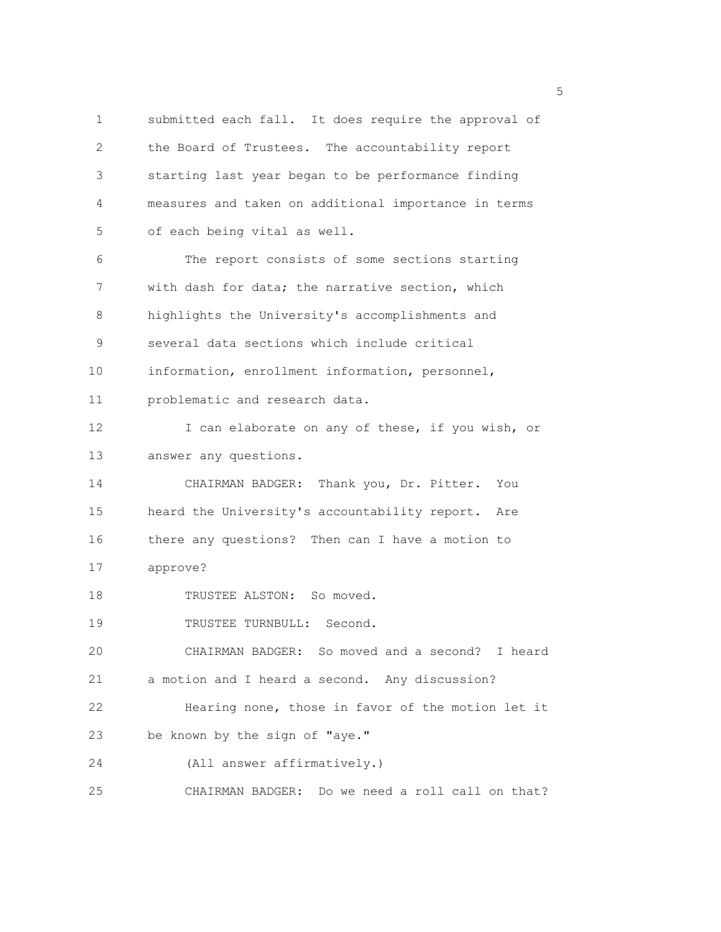1 submitted each fall. It does require the approval of 2 the Board of Trustees. The accountability report 3 starting last year began to be performance finding 4 measures and taken on additional importance in terms 5 of each being vital as well. 6 The report consists of some sections starting 7 with dash for data; the narrative section, which 8 highlights the University's accomplishments and 9 several data sections which include critical 10 information, enrollment information, personnel, 11 problematic and research data. 12 I can elaborate on any of these, if you wish, or 13 answer any questions. 14 CHAIRMAN BADGER: Thank you, Dr. Pitter. You 15 heard the University's accountability report. Are 16 there any questions? Then can I have a motion to 17 approve? 18 TRUSTEE ALSTON: So moved. 19 TRUSTEE TURNBULL: Second. 20 CHAIRMAN BADGER: So moved and a second? I heard 21 a motion and I heard a second. Any discussion? 22 Hearing none, those in favor of the motion let it 23 be known by the sign of "aye." 24 (All answer affirmatively.) 25 CHAIRMAN BADGER: Do we need a roll call on that?

<u>5</u> September 2005 and the second control of the second control of the second control of the second control of the second control of the second control of the second control of the second control of the second control of t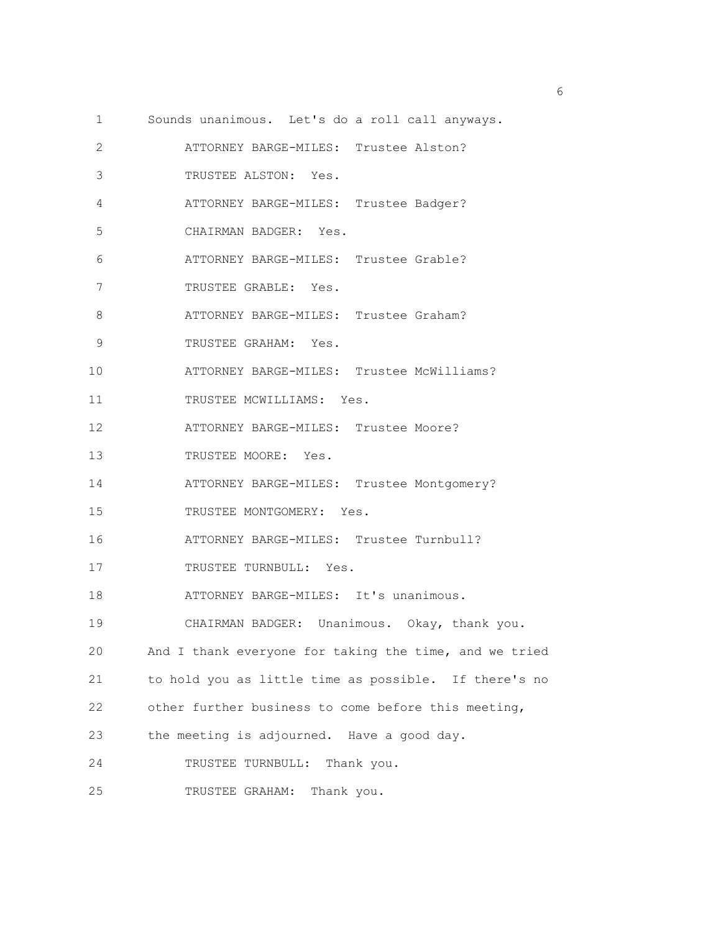1 Sounds unanimous. Let's do a roll call anyways. 2 ATTORNEY BARGE-MILES: Trustee Alston? 3 TRUSTEE ALSTON: Yes. 4 ATTORNEY BARGE-MILES: Trustee Badger? 5 CHAIRMAN BADGER: Yes. 6 ATTORNEY BARGE-MILES: Trustee Grable? 7 TRUSTEE GRABLE: Yes. 8 ATTORNEY BARGE-MILES: Trustee Graham? 9 TRUSTEE GRAHAM: Yes. 10 ATTORNEY BARGE-MILES: Trustee McWilliams? 11 TRUSTEE MCWILLIAMS: Yes. 12 ATTORNEY BARGE-MILES: Trustee Moore? 13 TRUSTEE MOORE: Yes. 14 ATTORNEY BARGE-MILES: Trustee Montgomery? 15 TRUSTEE MONTGOMERY: Yes. 16 ATTORNEY BARGE-MILES: Trustee Turnbull? 17 TRUSTEE TURNBULL: Yes. 18 ATTORNEY BARGE-MILES: It's unanimous. 19 CHAIRMAN BADGER: Unanimous. Okay, thank you. 20 And I thank everyone for taking the time, and we tried 21 to hold you as little time as possible. If there's no 22 other further business to come before this meeting, 23 the meeting is adjourned. Have a good day. 24 TRUSTEE TURNBULL: Thank you. 25 TRUSTEE GRAHAM: Thank you.

<u>6</u> and the contract of the contract of the contract of the contract of the contract of the contract of the contract of the contract of the contract of the contract of the contract of the contract of the contract of the co